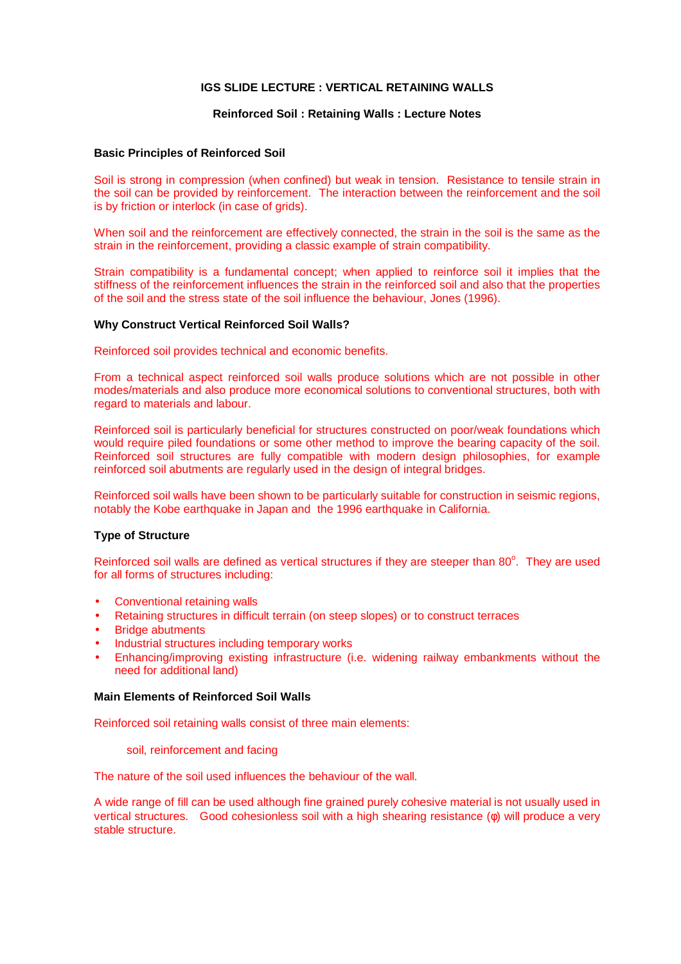## **IGS SLIDE LECTURE : VERTICAL RETAINING WALLS**

## **Reinforced Soil : Retaining Walls : Lecture Notes**

## **Basic Principles of Reinforced Soil**

Soil is strong in compression (when confined) but weak in tension. Resistance to tensile strain in the soil can be provided by reinforcement. The interaction between the reinforcement and the soil is by friction or interlock (in case of grids).

When soil and the reinforcement are effectively connected, the strain in the soil is the same as the strain in the reinforcement, providing a classic example of strain compatibility.

Strain compatibility is a fundamental concept; when applied to reinforce soil it implies that the stiffness of the reinforcement influences the strain in the reinforced soil and also that the properties of the soil and the stress state of the soil influence the behaviour, Jones (1996).

### **Why Construct Vertical Reinforced Soil Walls?**

Reinforced soil provides technical and economic benefits.

From a technical aspect reinforced soil walls produce solutions which are not possible in other modes/materials and also produce more economical solutions to conventional structures, both with regard to materials and labour.

Reinforced soil is particularly beneficial for structures constructed on poor/weak foundations which would require piled foundations or some other method to improve the bearing capacity of the soil. Reinforced soil structures are fully compatible with modern design philosophies, for example reinforced soil abutments are regularly used in the design of integral bridges.

Reinforced soil walls have been shown to be particularly suitable for construction in seismic regions, notably the Kobe earthquake in Japan and the 1996 earthquake in California.

### **Type of Structure**

Reinforced soil walls are defined as vertical structures if they are steeper than 80°. They are used for all forms of structures including:

- Conventional retaining walls
- Retaining structures in difficult terrain (on steep slopes) or to construct terraces
- **Bridge abutments**
- Industrial structures including temporary works
- Enhancing/improving existing infrastructure (i.e. widening railway embankments without the need for additional land)

#### **Main Elements of Reinforced Soil Walls**

Reinforced soil retaining walls consist of three main elements:

#### soil, reinforcement and facing

The nature of the soil used influences the behaviour of the wall.

A wide range of fill can be used although fine grained purely cohesive material is not usually used in vertical structures. Good cohesionless soil with a high shearing resistance (φ) will produce a very stable structure.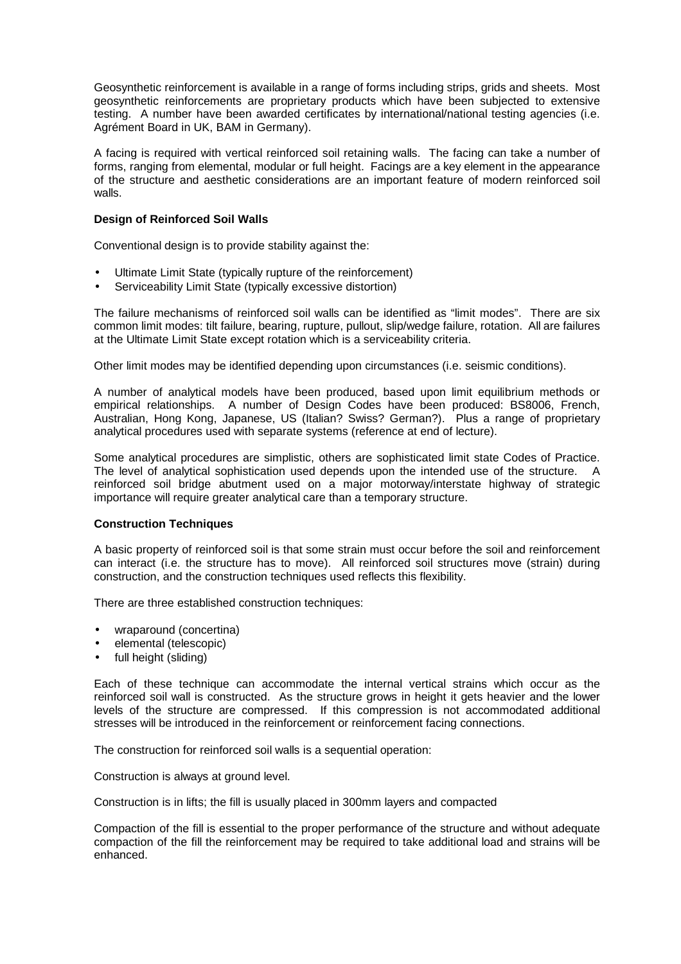Geosynthetic reinforcement is available in a range of forms including strips, grids and sheets. Most geosynthetic reinforcements are proprietary products which have been subjected to extensive testing. A number have been awarded certificates by international/national testing agencies (i.e. Agrément Board in UK, BAM in Germany).

A facing is required with vertical reinforced soil retaining walls. The facing can take a number of forms, ranging from elemental, modular or full height. Facings are a key element in the appearance of the structure and aesthetic considerations are an important feature of modern reinforced soil walls.

# **Design of Reinforced Soil Walls**

Conventional design is to provide stability against the:

- Ultimate Limit State (typically rupture of the reinforcement)
- Serviceability Limit State (typically excessive distortion)

The failure mechanisms of reinforced soil walls can be identified as "limit modes". There are six common limit modes: tilt failure, bearing, rupture, pullout, slip/wedge failure, rotation. All are failures at the Ultimate Limit State except rotation which is a serviceability criteria.

Other limit modes may be identified depending upon circumstances (i.e. seismic conditions).

A number of analytical models have been produced, based upon limit equilibrium methods or empirical relationships. A number of Design Codes have been produced: BS8006, French, Australian, Hong Kong, Japanese, US (Italian? Swiss? German?). Plus a range of proprietary analytical procedures used with separate systems (reference at end of lecture).

Some analytical procedures are simplistic, others are sophisticated limit state Codes of Practice. The level of analytical sophistication used depends upon the intended use of the structure. A reinforced soil bridge abutment used on a major motorway/interstate highway of strategic importance will require greater analytical care than a temporary structure.

### **Construction Techniques**

A basic property of reinforced soil is that some strain must occur before the soil and reinforcement can interact (i.e. the structure has to move). All reinforced soil structures move (strain) during construction, and the construction techniques used reflects this flexibility.

There are three established construction techniques:

- wraparound (concertina)
- elemental (telescopic)
- full height (sliding)

Each of these technique can accommodate the internal vertical strains which occur as the reinforced soil wall is constructed. As the structure grows in height it gets heavier and the lower levels of the structure are compressed. If this compression is not accommodated additional stresses will be introduced in the reinforcement or reinforcement facing connections.

The construction for reinforced soil walls is a sequential operation:

Construction is always at ground level.

Construction is in lifts; the fill is usually placed in 300mm layers and compacted

Compaction of the fill is essential to the proper performance of the structure and without adequate compaction of the fill the reinforcement may be required to take additional load and strains will be enhanced.